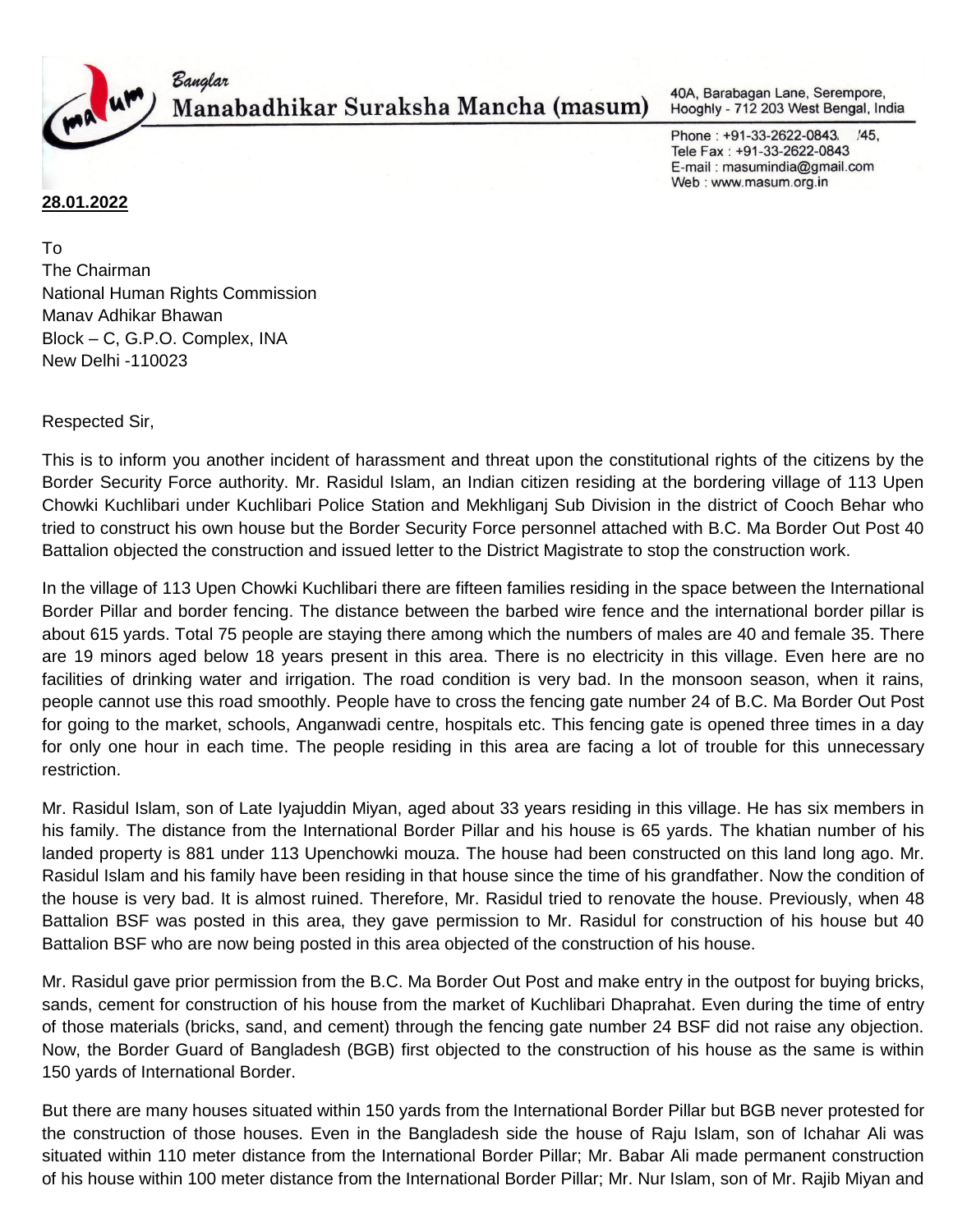

Manabadhikar Suraksha Mancha (masum)

40A, Barabagan Lane, Serempore, Hooghly - 712 203 West Bengal, India

Phone: +91-33-2622-0843, /45, Tele Fax: +91-33-2622-0843 E-mail: masumindia@gmail.com Web: www.masum.org.in

## **28.01.2022**

To The Chairman National Human Rights Commission Manav Adhikar Bhawan Block – C, G.P.O. Complex, INA New Delhi -110023

Banglar

Respected Sir,

This is to inform you another incident of harassment and threat upon the constitutional rights of the citizens by the Border Security Force authority. Mr. Rasidul Islam, an Indian citizen residing at the bordering village of 113 Upen Chowki Kuchlibari under Kuchlibari Police Station and Mekhliganj Sub Division in the district of Cooch Behar who tried to construct his own house but the Border Security Force personnel attached with B.C. Ma Border Out Post 40 Battalion objected the construction and issued letter to the District Magistrate to stop the construction work.

In the village of 113 Upen Chowki Kuchlibari there are fifteen families residing in the space between the International Border Pillar and border fencing. The distance between the barbed wire fence and the international border pillar is about 615 yards. Total 75 people are staying there among which the numbers of males are 40 and female 35. There are 19 minors aged below 18 years present in this area. There is no electricity in this village. Even here are no facilities of drinking water and irrigation. The road condition is very bad. In the monsoon season, when it rains, people cannot use this road smoothly. People have to cross the fencing gate number 24 of B.C. Ma Border Out Post for going to the market, schools, Anganwadi centre, hospitals etc. This fencing gate is opened three times in a day for only one hour in each time. The people residing in this area are facing a lot of trouble for this unnecessary restriction.

Mr. Rasidul Islam, son of Late Iyajuddin Miyan, aged about 33 years residing in this village. He has six members in his family. The distance from the International Border Pillar and his house is 65 yards. The khatian number of his landed property is 881 under 113 Upenchowki mouza. The house had been constructed on this land long ago. Mr. Rasidul Islam and his family have been residing in that house since the time of his grandfather. Now the condition of the house is very bad. It is almost ruined. Therefore, Mr. Rasidul tried to renovate the house. Previously, when 48 Battalion BSF was posted in this area, they gave permission to Mr. Rasidul for construction of his house but 40 Battalion BSF who are now being posted in this area objected of the construction of his house.

Mr. Rasidul gave prior permission from the B.C. Ma Border Out Post and make entry in the outpost for buying bricks, sands, cement for construction of his house from the market of Kuchlibari Dhaprahat. Even during the time of entry of those materials (bricks, sand, and cement) through the fencing gate number 24 BSF did not raise any objection. Now, the Border Guard of Bangladesh (BGB) first objected to the construction of his house as the same is within 150 yards of International Border.

But there are many houses situated within 150 yards from the International Border Pillar but BGB never protested for the construction of those houses. Even in the Bangladesh side the house of Raju Islam, son of Ichahar Ali was situated within 110 meter distance from the International Border Pillar; Mr. Babar Ali made permanent construction of his house within 100 meter distance from the International Border Pillar; Mr. Nur Islam, son of Mr. Rajib Miyan and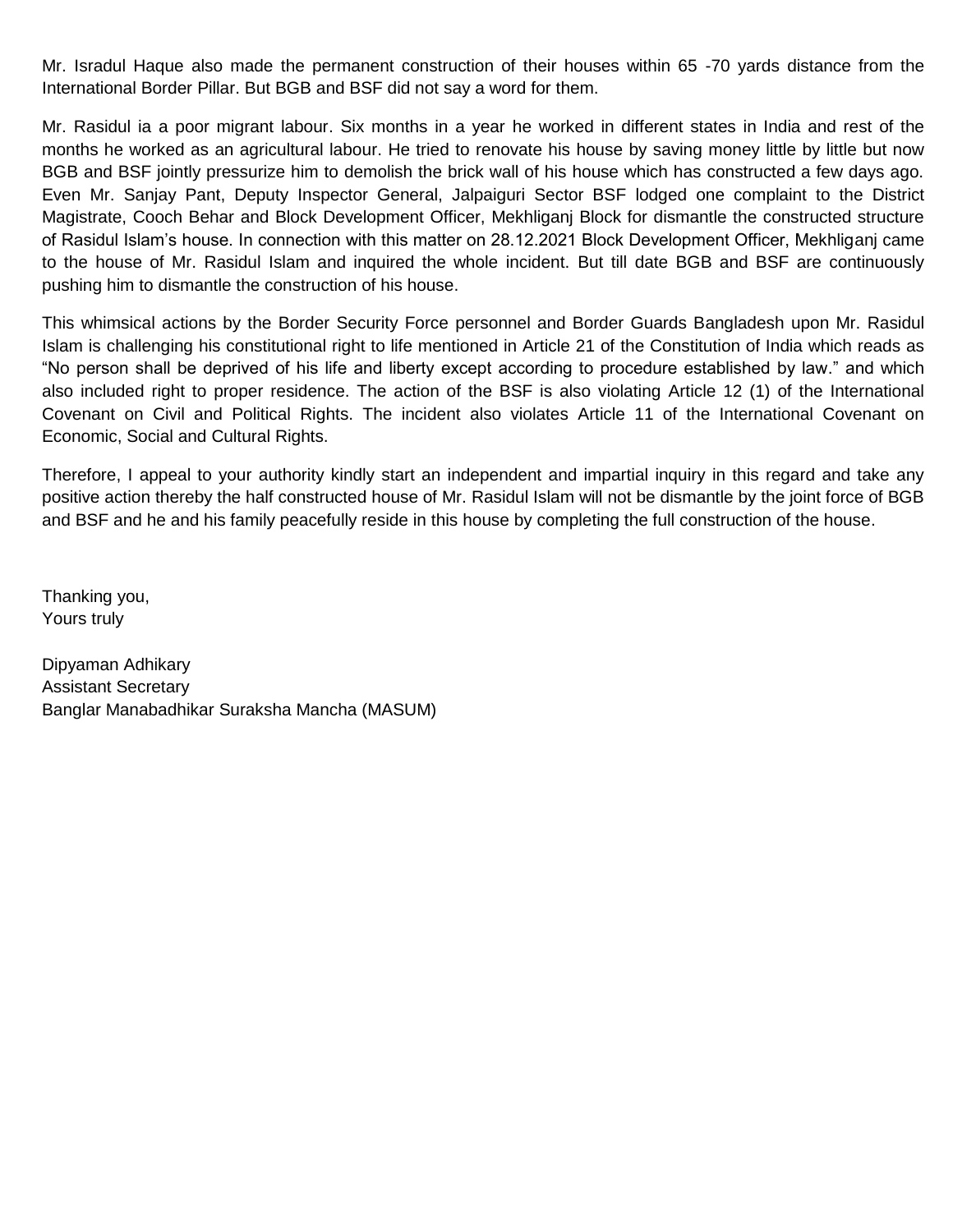Mr. Isradul Haque also made the permanent construction of their houses within 65 -70 yards distance from the International Border Pillar. But BGB and BSF did not say a word for them.

Mr. Rasidul ia a poor migrant labour. Six months in a year he worked in different states in India and rest of the months he worked as an agricultural labour. He tried to renovate his house by saving money little by little but now BGB and BSF jointly pressurize him to demolish the brick wall of his house which has constructed a few days ago. Even Mr. Sanjay Pant, Deputy Inspector General, Jalpaiguri Sector BSF lodged one complaint to the District Magistrate, Cooch Behar and Block Development Officer, Mekhliganj Block for dismantle the constructed structure of Rasidul Islam's house. In connection with this matter on 28.12.2021 Block Development Officer, Mekhliganj came to the house of Mr. Rasidul Islam and inquired the whole incident. But till date BGB and BSF are continuously pushing him to dismantle the construction of his house.

This whimsical actions by the Border Security Force personnel and Border Guards Bangladesh upon Mr. Rasidul Islam is challenging his constitutional right to life mentioned in Article 21 of the Constitution of India which reads as "No person shall be deprived of his life and liberty except according to procedure established by law." and which also included right to proper residence. The action of the BSF is also violating Article 12 (1) of the International Covenant on Civil and Political Rights. The incident also violates Article 11 of the International Covenant on Economic, Social and Cultural Rights.

Therefore, I appeal to your authority kindly start an independent and impartial inquiry in this regard and take any positive action thereby the half constructed house of Mr. Rasidul Islam will not be dismantle by the joint force of BGB and BSF and he and his family peacefully reside in this house by completing the full construction of the house.

Thanking you, Yours truly

Dipyaman Adhikary Assistant Secretary Banglar Manabadhikar Suraksha Mancha (MASUM)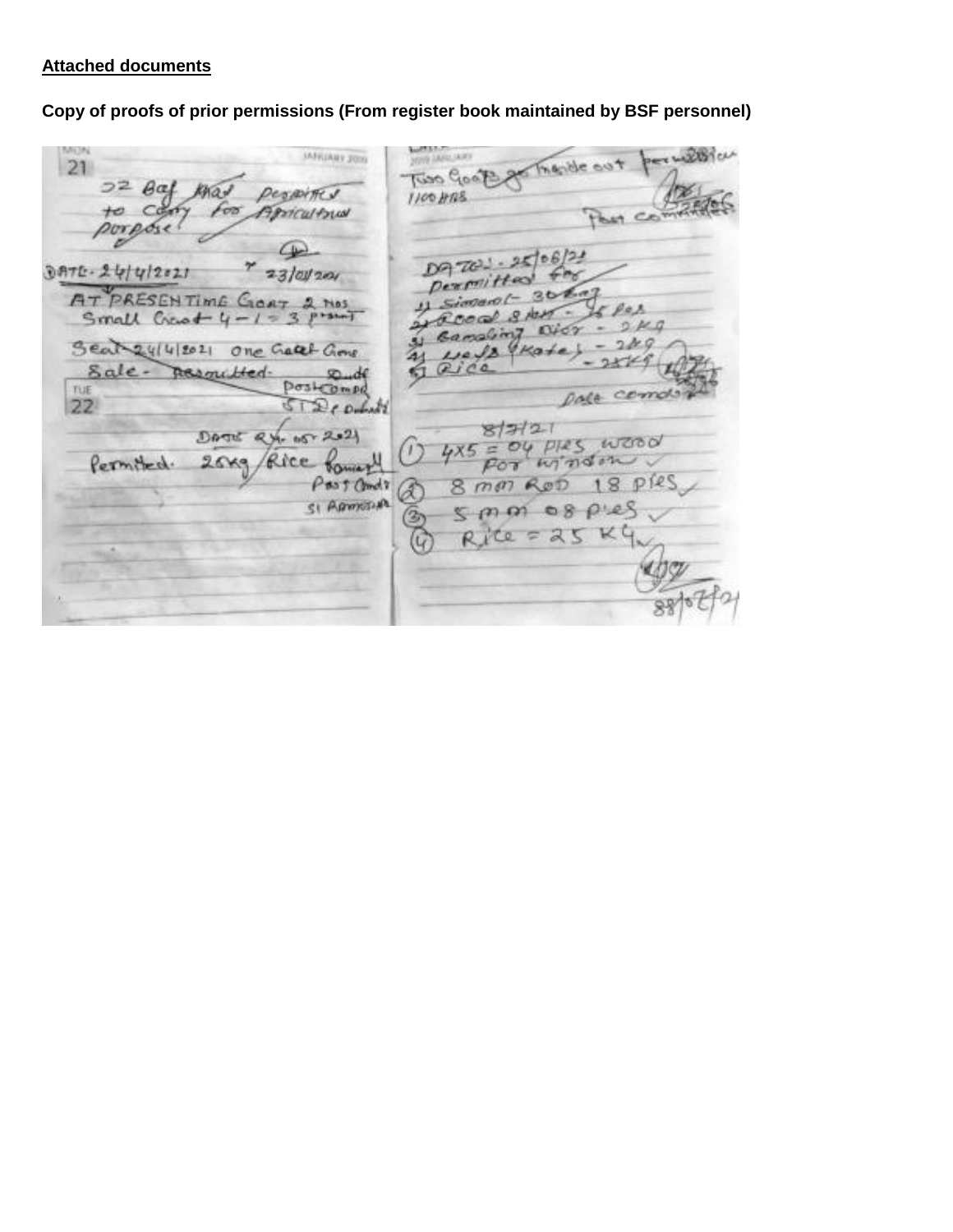## **Attached documents**

**Copy of proofs of prior permissions (From register book maintained by BSF personnel)**

MUN **COLLEGE LAND IAFRIARY JOSS** withich Riso Good of The de cot 21  $22$   $theta$ KKO u DesirAte J  $1100$  HRS  $\epsilon$ Apricultrus tО porpose B DQ702-25/08/21 DATE-24/4/2021  $23/20/201$ Dexmitted  $3012$ AT PRESENTIME GIORT 2 MOS  $P \triangle R$  $8.401$ .  $219$  $\sim$  $0467$ Banaling Seat 24/4/2021 one Gatet Grove  $249$  $u \in \sqrt{2}$ UKate h Sale- $Qice$ pesmitted.  $x_d$ postcompa TUE pala comolo STD compt 22  $877721$ DATE RY- 15-2021 4x5 = OU plas wood Rice former Permitted.  $26x9$ 18 pres Past andr 8 mm Rob £ SI APPROVA  $08P:25$  $5.000$  $\mathfrak{B}$  $= 25$  KC Co Ri  $\overline{G}$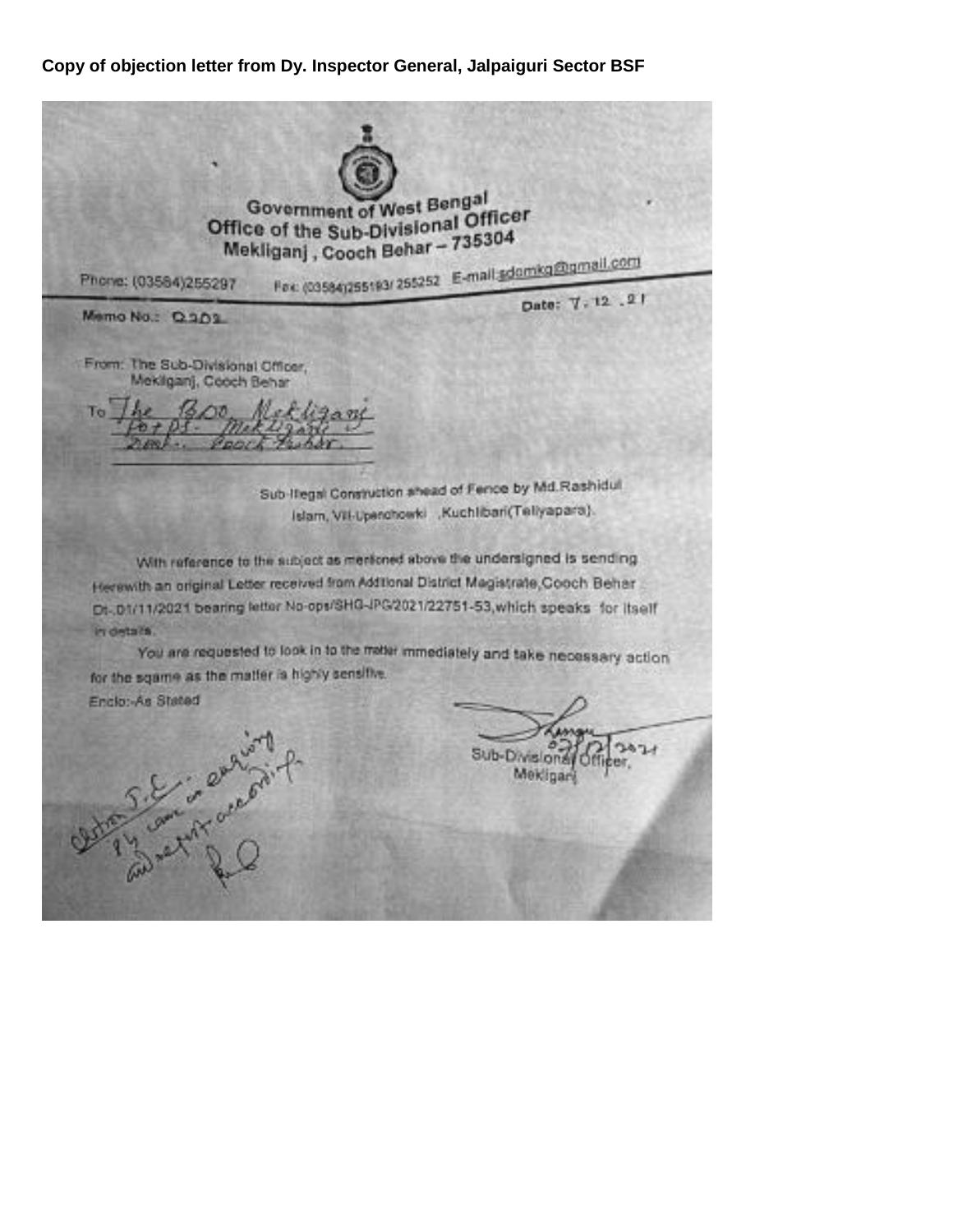## **Copy of objection letter from Dy. Inspector General, Jalpaiguri Sector BSF**

Government of West Bengal Office of the Sub-Divisional Officer Mekliganj, Cooch Behar - 735304 Fex (03584)255193/ 255252 E-mail adomica@gmail.com Phone: (03584)255297 Date: 7.12.21 Memo No.: Q.301 From: The Sub-Divisional Officer, Mekliganj, Cooch Behar To Sub-Itegal Construction shead of Fence by Md.Rashidul. Islam, VII-Upenchowki "Kuchlibari(Tellyapara). With reference to the subject as mericoed above the undersigned is sending Herewith an original Letter received from Additional District Magistrate, Cooch Behar Dt. 01/11/2021 bearing letter No-ops/SHG-JPG/2021/22751-53, which speaks for itself in details. You are requested to look in to the meter immediately and take necessary action for the sgame as the matter is highly sensitive. Enclo: As Stated S. Eric engine Sub-Division Mekline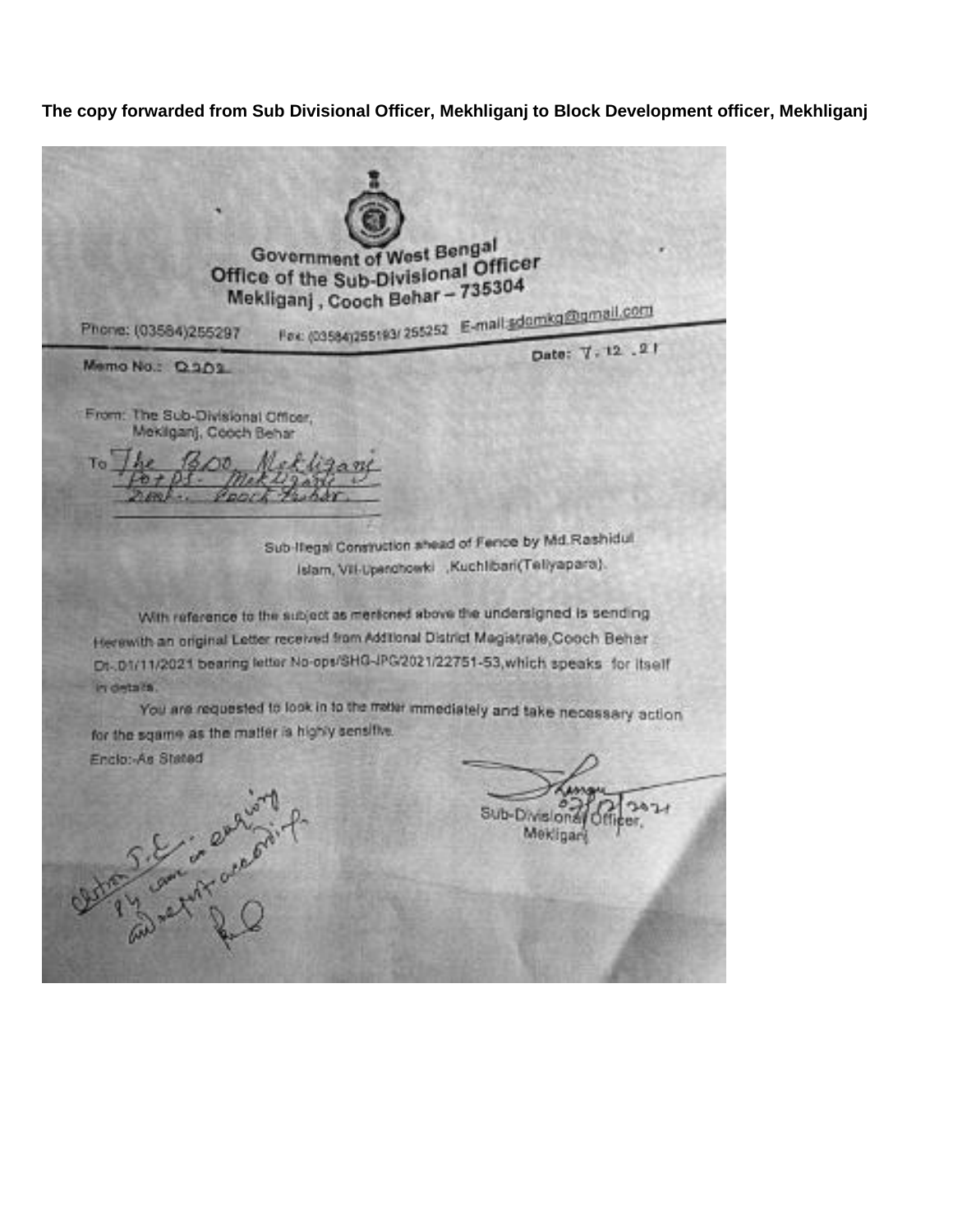**The copy forwarded from Sub Divisional Officer, Mekhliganj to Block Development officer, Mekhliganj**

Government of West Bengal Government of West Bell Officer<br>Office of the Sub-Divisional Officer Mekliganj, Cooch Behar - 735304 Fex (03584)255193/255252 E-mail adomico@gmail.com Phone: (03584)255297 Date: 7.12.21 Memo No.: Q.301 From: The Sub-Divisional Officer. Mekliganj, Cooch Behar Sub-Itegal Construction shead of Fence by Md.Rashidul. Islam, VII-Upenchowki , Kuchlibari (Tellyapara). With reference to the subject as mericoed above the undersigned is sending Herewith an original Letter received from Additional District Magistrate, Cooch Behar Dr. 01/11/2021 bearing letter No-ops/SHG-IPG/2021/22751-53, which speaks for itself in details. You are requested to look in to the meter immediately and take necessary action for the sqame as the matter is highly sensitive. Enclo:-As Stated S.E. : engine Sub-Division Mekligar